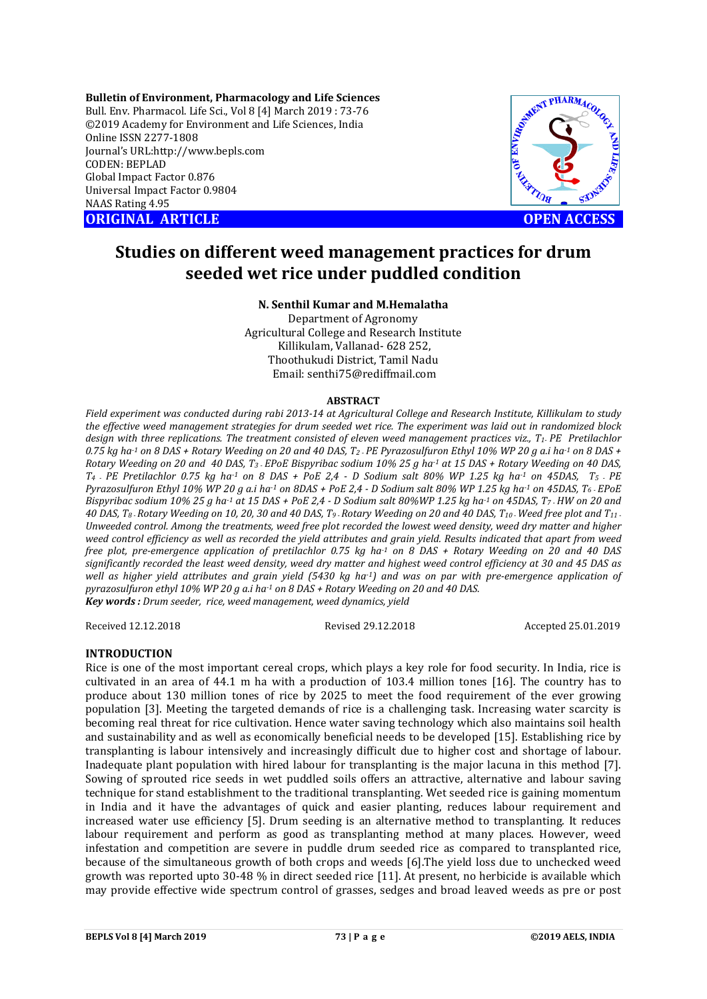**Bulletin of Environment, Pharmacology and Life Sciences** Bull. Env. Pharmacol. Life Sci., Vol 8 [4] March 2019 : 73-76 ©2019 Academy for Environment and Life Sciences, India Online ISSN 2277-1808 Journal's URL:http://www.bepls.com CODEN: BEPLAD Global Impact Factor 0.876 Universal Impact Factor 0.9804 NAAS Rating 4.95 **ORIGINAL ARTICLE OPEN ACCESS** 



# **Studies on different weed management practices for drum seeded wet rice under puddled condition**

## **N. Senthil Kumar and M.Hemalatha**

Department of Agronomy Agricultural College and Research Institute Killikulam, Vallanad- 628 252, Thoothukudi District, Tamil Nadu Email: senthi75@rediffmail.com

### **ABSTRACT**

*Field experiment was conducted during rabi 2013-14 at Agricultural College and Research Institute, Killikulam to study the effective weed management strategies for drum seeded wet rice. The experiment was laid out in randomized block design with three replications. The treatment consisted of eleven weed management practices viz., T1- PE Pretilachlor 0.75 kg ha-1 on 8 DAS + Rotary Weeding on 20 and 40 DAS, T2 - PE Pyrazosulfuron Ethyl 10% WP 20 g a.i ha-1 on 8 DAS + Rotary Weeding on 20 and 40 DAS, T3 - EPoE Bispyribac sodium 10% 25 g ha-1 at 15 DAS + Rotary Weeding on 40 DAS, T4 - PE Pretilachlor 0.75 kg ha-1 on 8 DAS + PoE 2,4 - D Sodium salt 80% WP 1.25 kg ha-1 on 45DAS, T5 - PE Pyrazosulfuron Ethyl 10% WP 20 g a.i ha-1 on 8DAS + PoE 2,4 - D Sodium salt 80% WP 1.25 kg ha-1 on 45DAS, T6 - EPoE Bispyribac sodium 10% 25 g ha-1 at 15 DAS + PoE 2,4 - D Sodium salt 80%WP 1.25 kg ha-1 on 45DAS, T7 - HW on 20 and 40 DAS, T8 - Rotary Weeding on 10, 20, 30 and 40 DAS, T9 -Rotary Weeding on 20 and 40 DAS, T10 -Weed free plot and T11 - Unweeded control. Among the treatments, weed free plot recorded the lowest weed density, weed dry matter and higher weed control efficiency as well as recorded the yield attributes and grain yield. Results indicated that apart from weed free plot, pre-emergence application of pretilachlor 0.75 kg ha-1 on 8 DAS + Rotary Weeding on 20 and 40 DAS significantly recorded the least weed density, weed dry matter and highest weed control efficiency at 30 and 45 DAS as well as higher yield attributes and grain yield (5430 kg ha-1) and was on par with pre-emergence application of pyrazosulfuron ethyl 10% WP 20 g a.i ha-1 on 8 DAS + Rotary Weeding on 20 and 40 DAS. Key words : Drum seeder, rice, weed management, weed dynamics, yield* 

Received 12.12.2018 Revised 29.12.2018 Accepted 25.01.2019

## **INTRODUCTION**

Rice is one of the most important cereal crops, which plays a key role for food security. In India, rice is cultivated in an area of 44.1 m ha with a production of 103.4 million tones [16]. The country has to produce about 130 million tones of rice by 2025 to meet the food requirement of the ever growing population [3]. Meeting the targeted demands of rice is a challenging task. Increasing water scarcity is becoming real threat for rice cultivation. Hence water saving technology which also maintains soil health and sustainability and as well as economically beneficial needs to be developed [15]. Establishing rice by transplanting is labour intensively and increasingly difficult due to higher cost and shortage of labour. Inadequate plant population with hired labour for transplanting is the major lacuna in this method [7]. Sowing of sprouted rice seeds in wet puddled soils offers an attractive, alternative and labour saving technique for stand establishment to the traditional transplanting. Wet seeded rice is gaining momentum in India and it have the advantages of quick and easier planting, reduces labour requirement and increased water use efficiency [5]. Drum seeding is an alternative method to transplanting. It reduces labour requirement and perform as good as transplanting method at many places. However, weed infestation and competition are severe in puddle drum seeded rice as compared to transplanted rice, because of the simultaneous growth of both crops and weeds [6].The yield loss due to unchecked weed growth was reported upto 30-48 % in direct seeded rice [11]. At present, no herbicide is available which may provide effective wide spectrum control of grasses, sedges and broad leaved weeds as pre or post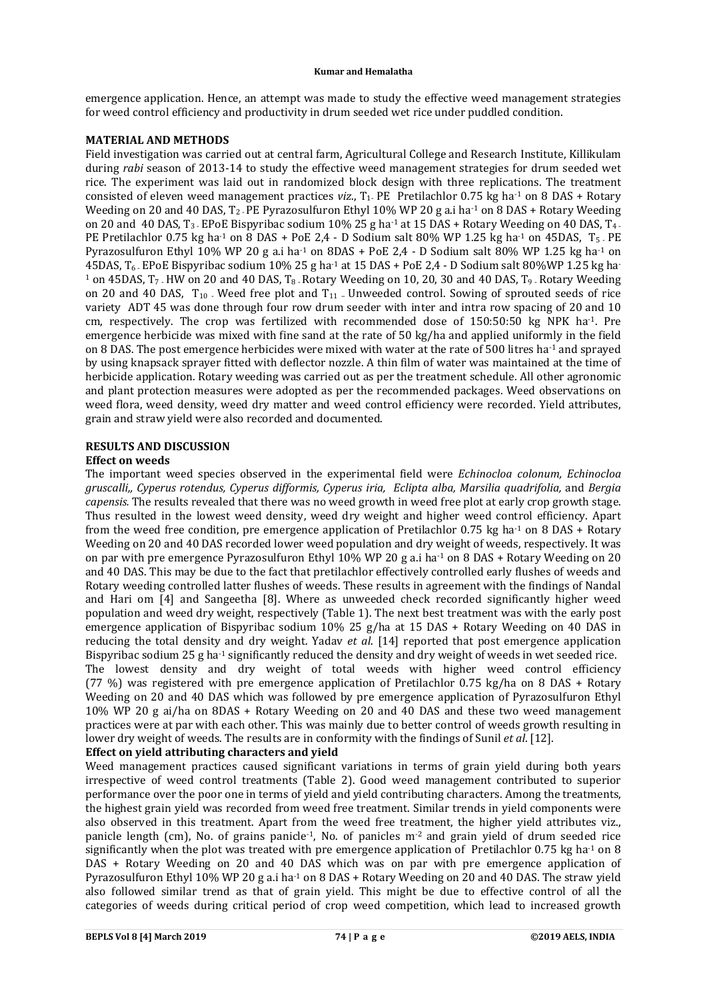#### **Kumar and Hemalatha**

emergence application. Hence, an attempt was made to study the effective weed management strategies for weed control efficiency and productivity in drum seeded wet rice under puddled condition.

## **MATERIAL AND METHODS**

Field investigation was carried out at central farm, Agricultural College and Research Institute, Killikulam during *rabi* season of 2013-14 to study the effective weed management strategies for drum seeded wet rice. The experiment was laid out in randomized block design with three replications. The treatment consisted of eleven weed management practices *viz.*, T<sub>1</sub>. PE Pretilachlor 0.75 kg ha<sup>-1</sup> on 8 DAS + Rotary Weeding on 20 and 40 DAS, T<sub>2</sub>. PE Pyrazosulfuron Ethyl 10% WP 20 g a.j ha<sup>-1</sup> on 8 DAS + Rotary Weeding on 20 and 40 DAS,  $T_3$ . EPoE Bispyribac sodium 10% 25 g ha<sup>-1</sup> at 15 DAS + Rotary Weeding on 40 DAS,  $T_4$ . PE Pretilachlor 0.75 kg ha<sup>-1</sup> on 8 DAS + PoE 2,4 - D Sodium salt 80% WP 1.25 kg ha<sup>-1</sup> on 45DAS, T<sub>5</sub>. PE Pyrazosulfuron Ethyl 10% WP 20 g a.i ha<sup>-1</sup> on 8DAS + PoE 2,4 - D Sodium salt 80% WP 1.25 kg ha<sup>-1</sup> on 45DAS, T6 - EPoE Bispyribac sodium 10% 25 g ha-1 at 15 DAS + PoE 2,4 - D Sodium salt 80%WP 1.25 kg ha-<sup>1</sup> on 45DAS,  $T_7$ . HW on 20 and 40 DAS,  $T_8$ . Rotary Weeding on 10, 20, 30 and 40 DAS,  $T_9$ . Rotary Weeding on 20 and 40 DAS,  $T_{10}$ . Weed free plot and  $T_{11}$ . Unweeded control. Sowing of sprouted seeds of rice variety ADT 45 was done through four row drum seeder with inter and intra row spacing of 20 and 10 cm, respectively. The crop was fertilized with recommended dose of 150:50:50 kg NPK ha-1. Pre emergence herbicide was mixed with fine sand at the rate of 50 kg/ha and applied uniformly in the field on 8 DAS. The post emergence herbicides were mixed with water at the rate of 500 litres ha-1 and sprayed by using knapsack sprayer fitted with deflector nozzle. A thin film of water was maintained at the time of herbicide application. Rotary weeding was carried out as per the treatment schedule. All other agronomic and plant protection measures were adopted as per the recommended packages. Weed observations on weed flora, weed density, weed dry matter and weed control efficiency were recorded. Yield attributes, grain and straw yield were also recorded and documented.

## **RESULTS AND DISCUSSION**

## **Effect on weeds**

The important weed species observed in the experimental field were *Echinocloa colonum, Echinocloa gruscalli,, Cyperus rotendus, Cyperus difformis, Cyperus iria, Eclipta alba, Marsilia quadrifolia,* and *Bergia capensis.* The results revealed that there was no weed growth in weed free plot at early crop growth stage. Thus resulted in the lowest weed density, weed dry weight and higher weed control efficiency. Apart from the weed free condition, pre emergence application of Pretilachlor 0.75 kg ha<sup>-1</sup> on 8 DAS + Rotary Weeding on 20 and 40 DAS recorded lower weed population and dry weight of weeds, respectively. It was on par with pre emergence Pyrazosulfuron Ethyl 10% WP 20 g a.i ha<sup>-1</sup> on 8 DAS + Rotary Weeding on 20 and 40 DAS. This may be due to the fact that pretilachlor effectively controlled early flushes of weeds and Rotary weeding controlled latter flushes of weeds. These results in agreement with the findings of Nandal and Hari om [4] and Sangeetha [8]. Where as unweeded check recorded significantly higher weed population and weed dry weight, respectively (Table 1). The next best treatment was with the early post emergence application of Bispyribac sodium 10% 25 g/ha at 15 DAS + Rotary Weeding on 40 DAS in reducing the total density and dry weight. Yadav *et al*. [14] reported that post emergence application Bispyribac sodium 25 g ha<sup>-1</sup> significantly reduced the density and dry weight of weeds in wet seeded rice. The lowest density and dry weight of total weeds with higher weed control efficiency (77 %) was registered with pre emergence application of Pretilachlor 0.75 kg/ha on 8 DAS + Rotary Weeding on 20 and 40 DAS which was followed by pre emergence application of Pyrazosulfuron Ethyl 10% WP 20 g ai/ha on 8DAS + Rotary Weeding on 20 and 40 DAS and these two weed management practices were at par with each other. This was mainly due to better control of weeds growth resulting in lower dry weight of weeds. The results are in conformity with the findings of Sunil *et al*. [12].

## **Effect on yield attributing characters and yield**

Weed management practices caused significant variations in terms of grain yield during both years irrespective of weed control treatments (Table 2). Good weed management contributed to superior performance over the poor one in terms of yield and yield contributing characters. Among the treatments, the highest grain yield was recorded from weed free treatment. Similar trends in yield components were also observed in this treatment. Apart from the weed free treatment, the higher yield attributes viz., panicle length (cm), No. of grains panicle<sup>-1</sup>, No. of panicles  $m<sup>-2</sup>$  and grain yield of drum seeded rice significantly when the plot was treated with pre emergence application of Pretilachlor 0.75 kg ha<sup>-1</sup> on 8 DAS + Rotary Weeding on 20 and 40 DAS which was on par with pre emergence application of Pyrazosulfuron Ethyl 10% WP 20 g a.i ha-1 on 8 DAS + Rotary Weeding on 20 and 40 DAS. The straw yield also followed similar trend as that of grain yield. This might be due to effective control of all the categories of weeds during critical period of crop weed competition, which lead to increased growth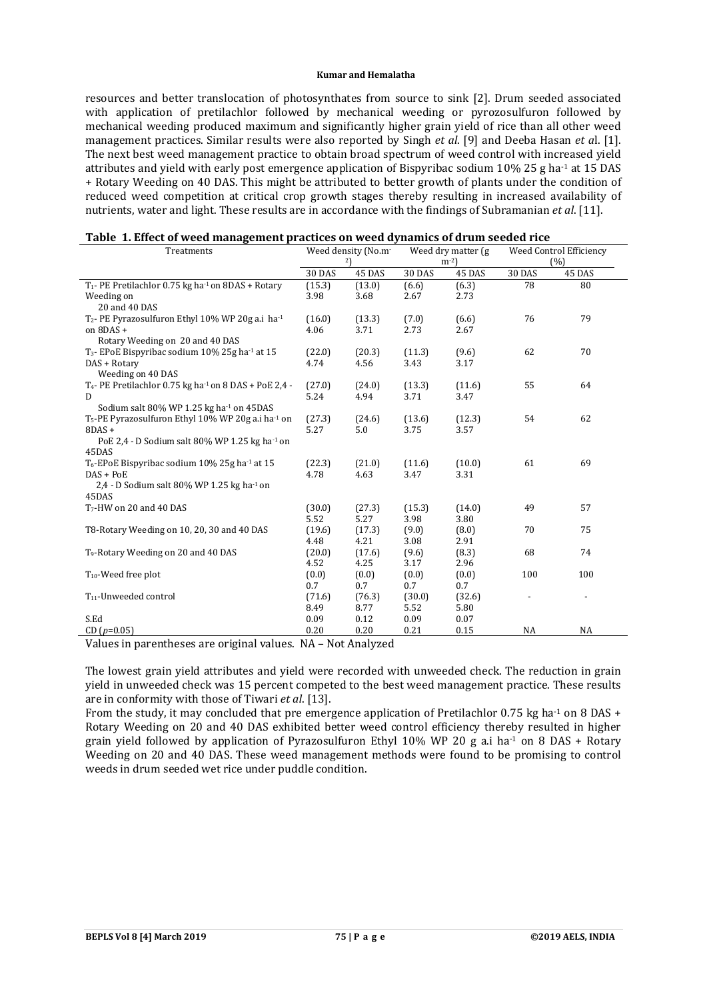#### **Kumar and Hemalatha**

resources and better translocation of photosynthates from source to sink [2]. Drum seeded associated with application of pretilachlor followed by mechanical weeding or pyrozosulfuron followed by mechanical weeding produced maximum and significantly higher grain yield of rice than all other weed management practices. Similar results were also reported by Singh *et al*. [9] and Deeba Hasan *et a*l. [1]. The next best weed management practice to obtain broad spectrum of weed control with increased yield attributes and yield with early post emergence application of Bispyribac sodium 10% 25 g ha<sup>-1</sup> at 15 DAS + Rotary Weeding on 40 DAS. This might be attributed to better growth of plants under the condition of reduced weed competition at critical crop growth stages thereby resulting in increased availability of nutrients, water and light. These results are in accordance with the findings of Subramanian *et al*. [11].

| Treatments                                                                    | Weed density (No.m <sup>-</sup> |        | Weed dry matter (g) |        | Weed Control Efficiency |           |
|-------------------------------------------------------------------------------|---------------------------------|--------|---------------------|--------|-------------------------|-----------|
|                                                                               | 2                               |        | $m^{-2}$            |        | (%)                     |           |
|                                                                               | <b>30 DAS</b>                   | 45 DAS | <b>30 DAS</b>       | 45 DAS | <b>30 DAS</b>           | 45 DAS    |
| T <sub>1</sub> - PE Pretilachlor 0.75 kg ha <sup>-1</sup> on 8DAS + Rotary    | (15.3)                          | (13.0) | (6.6)               | (6.3)  | 78                      | 80        |
| Weeding on                                                                    | 3.98                            | 3.68   | 2.67                | 2.73   |                         |           |
| 20 and 40 DAS                                                                 |                                 |        |                     |        |                         |           |
| T <sub>2</sub> - PE Pyrazosulfuron Ethyl 10% WP 20g a.i ha <sup>-1</sup>      | (16.0)                          | (13.3) | (7.0)               | (6.6)  | 76                      | 79        |
| on 8DAS +                                                                     | 4.06                            | 3.71   | 2.73                | 2.67   |                         |           |
| Rotary Weeding on 20 and 40 DAS                                               |                                 |        |                     |        |                         |           |
| T <sub>3</sub> - EPoE Bispyribac sodium 10% 25g ha <sup>1</sup> at 15         | (22.0)                          | (20.3) | (11.3)              | (9.6)  | 62                      | 70        |
| DAS + Rotary                                                                  | 4.74                            | 4.56   | 3.43                | 3.17   |                         |           |
| Weeding on 40 DAS                                                             |                                 |        |                     |        |                         |           |
| T <sub>4</sub> - PE Pretilachlor 0.75 kg ha <sup>1</sup> on 8 DAS + PoE 2,4 - | (27.0)                          | (24.0) | (13.3)              | (11.6) | 55                      | 64        |
| D                                                                             | 5.24                            | 4.94   | 3.71                | 3.47   |                         |           |
| Sodium salt 80% WP 1.25 kg ha <sup>-1</sup> on 45DAS                          |                                 |        |                     |        |                         |           |
| T <sub>5</sub> -PE Pyrazosulfuron Ethyl 10% WP 20g a.i ha <sup>-1</sup> on    | (27.3)                          | (24.6) | (13.6)              | (12.3) | 54                      | 62        |
| $8DAS +$                                                                      | 5.27                            | 5.0    | 3.75                | 3.57   |                         |           |
| PoE 2,4 - D Sodium salt 80% WP 1.25 kg ha <sup>1</sup> on                     |                                 |        |                     |        |                         |           |
| 45DAS                                                                         |                                 |        |                     |        |                         |           |
| T <sub>6</sub> -EPoE Bispyribac sodium 10% 25g ha <sup>-1</sup> at 15         | (22.3)                          | (21.0) | (11.6)              | (10.0) | 61                      | 69        |
| $DAS + PoE$                                                                   | 4.78                            | 4.63   | 3.47                | 3.31   |                         |           |
| 2,4 - D Sodium salt 80% WP 1.25 kg ha-1 on                                    |                                 |        |                     |        |                         |           |
| 45DAS                                                                         |                                 |        |                     |        |                         |           |
| $T7$ -HW on 20 and 40 DAS                                                     | (30.0)                          | (27.3) | (15.3)              | (14.0) | 49                      | 57        |
|                                                                               | 5.52                            | 5.27   | 3.98                | 3.80   |                         |           |
| T8-Rotary Weeding on 10, 20, 30 and 40 DAS                                    | (19.6)                          | (17.3) | (9.0)               | (8.0)  | 70                      | 75        |
|                                                                               | 4.48                            | 4.21   | 3.08                | 2.91   |                         |           |
| T <sub>9</sub> -Rotary Weeding on 20 and 40 DAS                               | (20.0)                          | (17.6) | (9.6)               | (8.3)  | 68                      | 74        |
|                                                                               | 4.52                            | 4.25   | 3.17                | 2.96   |                         |           |
| $T_{10}$ -Weed free plot                                                      | (0.0)                           | (0.0)  | (0.0)               | (0.0)  | 100                     | 100       |
|                                                                               | 0.7                             | 0.7    | 0.7                 | 0.7    |                         |           |
| $T_{11}$ -Unweeded control                                                    | (71.6)                          | (76.3) | (30.0)              | (32.6) |                         |           |
|                                                                               | 8.49                            | 8.77   | 5.52                | 5.80   |                         |           |
| S.Ed                                                                          | 0.09                            | 0.12   | 0.09                | 0.07   |                         |           |
| CD $(p=0.05)$                                                                 | 0.20                            | 0.20   | 0.21                | 0.15   | <b>NA</b>               | <b>NA</b> |

|  |  | Table 1. Effect of weed management practices on weed dynamics of drum seeded rice |  |
|--|--|-----------------------------------------------------------------------------------|--|
|  |  |                                                                                   |  |

Values in parentheses are original values. NA – Not Analyzed

The lowest grain yield attributes and yield were recorded with unweeded check. The reduction in grain yield in unweeded check was 15 percent competed to the best weed management practice. These results are in conformity with those of Tiwari *et al*. [13].

From the study, it may concluded that pre emergence application of Pretilachlor 0.75 kg ha<sup>-1</sup> on 8 DAS + Rotary Weeding on 20 and 40 DAS exhibited better weed control efficiency thereby resulted in higher grain yield followed by application of Pyrazosulfuron Ethyl 10% WP 20 g a.i ha<sup>-1</sup> on 8 DAS + Rotary Weeding on 20 and 40 DAS. These weed management methods were found to be promising to control weeds in drum seeded wet rice under puddle condition.